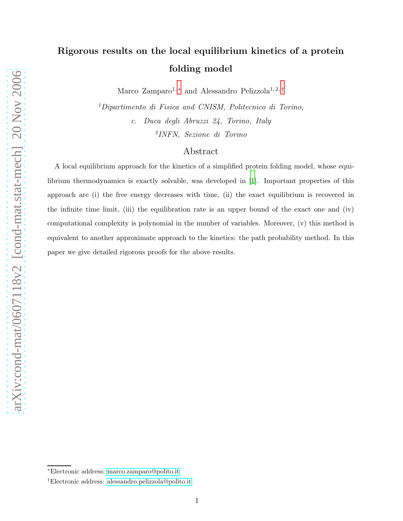# Rigorous results on the local equilibrium kinetics of a protein folding model

Marco Zamparo<sup>1,\*</sup> and Alessandro Pelizzola<sup>1,2,[†](#page-0-1)</sup>

<sup>1</sup>Dipartimento di Fisica and CNISM, Politecnico di Torino, c. Duca degli Abruzzi 24, Torino, Italy 2 INFN, Sezione di Torino

### Abstract

A local equilibrium approach for the kinetics of a simplified protein folding model, whose equilibrium thermodynamics is exactly solvable, was developed in [\[1\]](#page-23-0). Important properties of this approach are (i) the free energy decreases with time, (ii) the exact equilibrium is recovered in the infinite time limit, (iii) the equilibration rate is an upper bound of the exact one and (iv) computational complexity is polynomial in the number of variables. Moreover, (v) this method is equivalent to another approximate approach to the kinetics: the path probability method. In this paper we give detailed rigorous proofs for the above results.

<span id="page-0-1"></span><span id="page-0-0"></span><sup>∗</sup>Electronic address: [marco.zamparo@polito.it](mailto:marco.zamparo@polito.it)

<sup>†</sup>Electronic address: [alessandro.pelizzola@polito.it](mailto:alessandro.pelizzola@polito.it)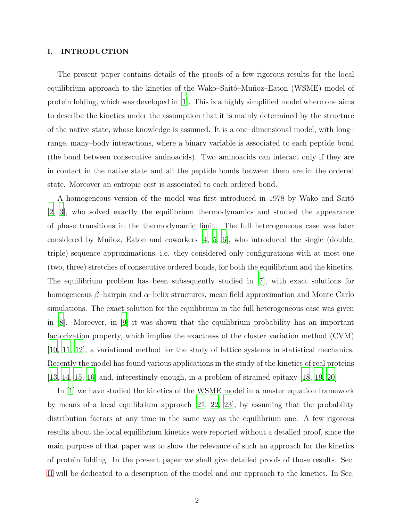#### I. INTRODUCTION

The present paper contains details of the proofs of a few rigorous results for the local equilibrium approach to the kinetics of the Wako–Saitô–Muñoz–Eaton (WSME) model of protein folding, which was developed in  $|1|$ . This is a highly simplified model where one aims to describe the kinetics under the assumption that it is mainly determined by the structure of the native state, whose knowledge is assumed. It is a one–dimensional model, with long– range, many–body interactions, where a binary variable is associated to each peptide bond (the bond between consecutive aminoacids). Two aminoacids can interact only if they are in contact in the native state and all the peptide bonds between them are in the ordered state. Moreover an entropic cost is associated to each ordered bond.

A homogeneous version of the model was first introduced in 1978 by Wako and Saitô [\[2](#page-23-1), [3](#page-23-2)], who solved exactly the equilibrium thermodynamics and studied the appearance of phase transitions in the thermodynamic limit. The full heterogeneous case was later considered by Muñoz, Eaton and coworkers  $[4, 5, 6]$  $[4, 5, 6]$  $[4, 5, 6]$  $[4, 5, 6]$ , who introduced the single (double, triple) sequence approximations, i.e. they considered only configurations with at most one (two, three) stretches of consecutive ordered bonds, for both the equilibrium and the kinetics. The equilibrium problem has been subsequently studied in [\[7\]](#page-23-6), with exact solutions for homogeneous  $\beta$ –hairpin and  $\alpha$ –helix structures, mean field approximation and Monte Carlo simulations. The exact solution for the equilibrium in the full heterogeneous case was given in  $|8|$ . Moreover, in  $|9|$  it was shown that the equilibrium probability has an important factorization property, which implies the exactness of the cluster variation method (CVM) [\[10,](#page-23-9) [11,](#page-23-10) [12\]](#page-23-11), a variational method for the study of lattice systems in statistical mechanics. Recently the model has found various applications in the study of the kinetics of real proteins [\[13,](#page-23-12) [14,](#page-23-13) [15,](#page-23-14) [16\]](#page-24-0) and, interestingly enough, in a problem of strained epitaxy [\[18](#page-24-1), [19,](#page-24-2) [20\]](#page-24-3).

In [\[1\]](#page-23-0) we have studied the kinetics of the WSME model in a master equation framework by means of a local equilibrium approach [\[21,](#page-24-4) [22,](#page-24-5) [23](#page-24-6)], by assuming that the probability distribution factors at any time in the same way as the equilibrium one. A few rigorous results about the local equilibrium kinetics were reported without a detailed proof, since the main purpose of that paper was to show the relevance of such an approach for the kinetics of protein folding. In the present paper we shall give detailed proofs of those results. Sec. [II](#page-2-0) will be dedicated to a description of the model and our approach to the kinetics. In Sec.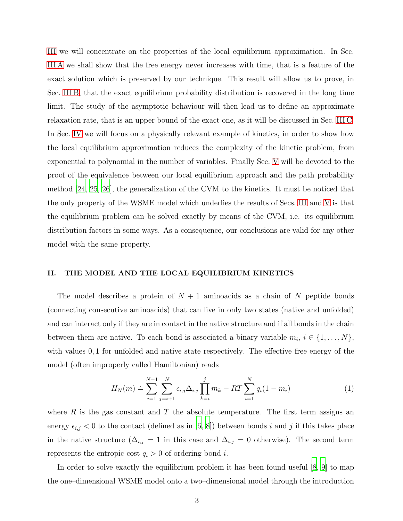[III](#page-5-0) we will concentrate on the properties of the local equilibrium approximation. In Sec. [III A](#page-5-1) we shall show that the free energy never increases with time, that is a feature of the exact solution which is preserved by our technique. This result will allow us to prove, in Sec. [III B,](#page-8-0) that the exact equilibrium probability distribution is recovered in the long time limit. The study of the asymptotic behaviour will then lead us to define an approximate relaxation rate, that is an upper bound of the exact one, as it will be discussed in Sec. [III C.](#page-8-1) In Sec. [IV](#page-13-0) we will focus on a physically relevant example of kinetics, in order to show how the local equilibrium approximation reduces the complexity of the kinetic problem, from exponential to polynomial in the number of variables. Finally Sec. [V](#page-18-0) will be devoted to the proof of the equivalence between our local equilibrium approach and the path probability method [\[24](#page-24-7), [25](#page-24-8), [26](#page-24-9)], the generalization of the CVM to the kinetics. It must be noticed that the only property of the WSME model which underlies the results of Secs. [III](#page-5-0) and [V](#page-18-0) is that the equilibrium problem can be solved exactly by means of the CVM, i.e. its equilibrium distribution factors in some ways. As a consequence, our conclusions are valid for any other model with the same property.

#### <span id="page-2-0"></span>II. THE MODEL AND THE LOCAL EQUILIBRIUM KINETICS

The model describes a protein of  $N+1$  aminoacids as a chain of N peptide bonds (connecting consecutive aminoacids) that can live in only two states (native and unfolded) and can interact only if they are in contact in the native structure and if all bonds in the chain between them are native. To each bond is associated a binary variable  $m_i, i \in \{1, \ldots, N\},\$ with values 0, 1 for unfolded and native state respectively. The effective free energy of the model (often improperly called Hamiltonian) reads

<span id="page-2-1"></span>
$$
H_N(m) \doteq \sum_{i=1}^{N-1} \sum_{j=i+1}^{N} \epsilon_{i,j} \Delta_{i,j} \prod_{k=i}^{j} m_k - RT \sum_{i=1}^{N} q_i (1 - m_i)
$$
 (1)

where  $R$  is the gas constant and  $T$  the absolute temperature. The first term assigns an energy  $\epsilon_{i,j} < 0$  to the contact (defined as in [\[6,](#page-23-5) [8\]](#page-23-7)) between bonds i and j if this takes place in the native structure ( $\Delta_{i,j} = 1$  in this case and  $\Delta_{i,j} = 0$  otherwise). The second term represents the entropic cost  $q_i > 0$  of ordering bond i.

In order to solve exactly the equilibrium problem it has been found useful [\[8](#page-23-7), [9](#page-23-8)] to map the one–dimensional WSME model onto a two–dimensional model through the introduction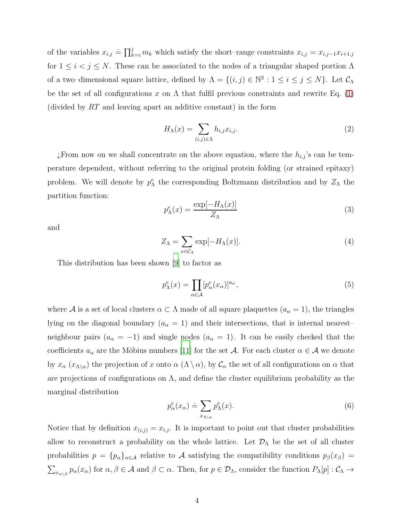of the variables  $x_{i,j} \doteq \prod_{k=i}^{j} m_k$  which satisfy the short–range constraints  $x_{i,j} = x_{i,j-1}x_{i+1,j}$ for  $1 \leq i < j \leq N$ . These can be associated to the nodes of a triangular shaped portion  $\Lambda$ of a two–dimensional square lattice, defined by  $\Lambda = \{(i, j) \in \mathbb{N}^2 : 1 \le i \le j \le N\}$ . Let  $\mathcal{C}_{\Lambda}$ be the set of all configurations x on  $\Lambda$  that fulfil previous constraints and rewrite Eq. [\(1\)](#page-2-1) (divided by RT and leaving apart an additive constant) in the form

$$
H_{\Lambda}(x) = \sum_{(i,j)\in\Lambda} h_{i,j} x_{i,j}.
$$
 (2)

 $i$ From now on we shall concentrate on the above equation, where the  $h_{i,j}$ 's can be temperature dependent, without referring to the original protein folding (or strained epitaxy) problem. We will denote by  $p_{\Lambda}^e$  the corresponding Boltzmann distribution and by  $Z_{\Lambda}$  the partition function:

<span id="page-3-2"></span>
$$
p_{\Lambda}^{e}(x) = \frac{\exp[-H_{\Lambda}(x)]}{Z_{\Lambda}} \tag{3}
$$

and

<span id="page-3-1"></span>
$$
Z_{\Lambda} = \sum_{x \in \mathcal{C}_{\Lambda}} \exp[-H_{\Lambda}(x)]. \tag{4}
$$

This distribution has been shown [\[9\]](#page-23-8) to factor as

<span id="page-3-0"></span>
$$
p_{\Lambda}^{e}(x) = \prod_{\alpha \in \mathcal{A}} [p_{\alpha}^{e}(x_{\alpha})]^{a_{\alpha}}, \qquad (5)
$$

where A is a set of local clusters  $\alpha \subset \Lambda$  made of all square plaquettes  $(a_{\alpha} = 1)$ , the triangles lying on the diagonal boundary ( $a_{\alpha} = 1$ ) and their intersections, that is internal nearest– neighbour pairs ( $a_{\alpha} = -1$ ) and single nodes ( $a_{\alpha} = 1$ ). It can be easily checked that the coefficients  $a_{\alpha}$  are the Möbius numbers [\[11](#page-23-10)] for the set A. For each cluster  $\alpha \in A$  we denote by  $x_\alpha$  ( $x_{\Lambda\setminus\alpha}$ ) the projection of x onto  $\alpha$  ( $\Lambda\setminus\alpha$ ), by  $\mathcal{C}_\alpha$  the set of all configurations on  $\alpha$  that are projections of configurations on  $\Lambda$ , and define the cluster equilibrium probability as the marginal distribution

$$
p_{\alpha}^{e}(x_{\alpha}) \doteq \sum_{x_{\Lambda \backslash \alpha}} p_{\Lambda}^{e}(x). \tag{6}
$$

Notice that by definition  $x_{(i,j)} = x_{i,j}$ . It is important to point out that cluster probabilities allow to reconstruct a probability on the whole lattice. Let  $\mathcal{D}_{\Lambda}$  be the set of all cluster probabilities  $p = {p_{\alpha}}_{\alpha \in A}$  relative to A satisfying the compatibility conditions  $p_{\beta}(x_{\beta}) =$  $\sum_{x_{\alpha\setminus\beta}} p_{\alpha}(x_{\alpha})$  for  $\alpha, \beta \in \mathcal{A}$  and  $\beta \subset \alpha$ . Then, for  $p \in \mathcal{D}_{\Lambda}$ , consider the function  $P_{\Lambda}[p]: \mathcal{C}_{\Lambda} \to$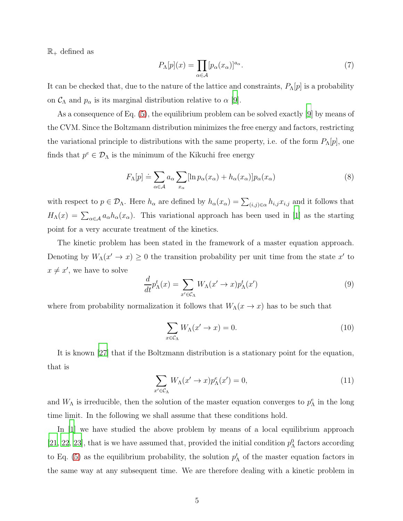$\mathbb{R}_+$  defined as

<span id="page-4-1"></span>
$$
P_{\Lambda}[p](x) = \prod_{\alpha \in \mathcal{A}} [p_{\alpha}(x_{\alpha})]^{a_{\alpha}}.
$$
\n(7)

It can be checked that, due to the nature of the lattice and constraints,  $P_{\Lambda}[p]$  is a probability on  $\mathcal{C}_{\Lambda}$  and  $p_{\alpha}$  is its marginal distribution relative to  $\alpha$  [\[9](#page-23-8)].

As a consequence of Eq. [\(5\)](#page-3-0), the equilibrium problem can be solved exactly [\[9\]](#page-23-8) by means of the CVM. Since the Boltzmann distribution minimizes the free energy and factors, restricting the variational principle to distributions with the same property, i.e. of the form  $P_{\Lambda}[p]$ , one finds that  $p^e \in \mathcal{D}_\Lambda$  is the minimum of the Kikuchi free energy

<span id="page-4-0"></span>
$$
F_{\Lambda}[p] \doteq \sum_{\alpha \in \mathcal{A}} a_{\alpha} \sum_{x_{\alpha}} [\ln p_{\alpha}(x_{\alpha}) + h_{\alpha}(x_{\alpha})] p_{\alpha}(x_{\alpha}) \tag{8}
$$

with respect to  $p \in \mathcal{D}_\Lambda$ . Here  $h_\alpha$  are defined by  $h_\alpha(x_\alpha) = \sum_{(i,j) \in \alpha} h_{i,j} x_{i,j}$  and it follows that  $H_{\Lambda}(x) = \sum_{\alpha \in A} a_{\alpha} h_{\alpha}(x_{\alpha}).$  This variational approach has been used in [\[1\]](#page-23-0) as the starting point for a very accurate treatment of the kinetics.

The kinetic problem has been stated in the framework of a master equation approach. Denoting by  $W_{\Lambda}(x' \to x) \geq 0$  the transition probability per unit time from the state  $x'$  to  $x \neq x'$ , we have to solve

<span id="page-4-4"></span>
$$
\frac{d}{dt}p^t_{\Lambda}(x) = \sum_{x' \in \mathcal{C}_{\Lambda}} W_{\Lambda}(x' \to x)p^t_{\Lambda}(x')
$$
\n(9)

where from probability normalization it follows that  $W_\Lambda(x \to x)$  has to be such that

<span id="page-4-2"></span>
$$
\sum_{x \in \mathcal{C}_{\Lambda}} W_{\Lambda}(x' \to x) = 0. \tag{10}
$$

It is known [\[27](#page-24-10)] that if the Boltzmann distribution is a stationary point for the equation, that is

<span id="page-4-3"></span>
$$
\sum_{x' \in \mathcal{C}_{\Lambda}} W_{\Lambda}(x' \to x) p_{\Lambda}^{e}(x') = 0, \qquad (11)
$$

and  $W_{\Lambda}$  is irreducible, then the solution of the master equation converges to  $p_{\Lambda}^{e}$  in the long time limit. In the following we shall assume that these conditions hold.

In [\[1](#page-23-0)] we have studied the above problem by means of a local equilibrium approach [\[21](#page-24-4), [22](#page-24-5), [23\]](#page-24-6), that is we have assumed that, provided the initial condition  $p_{\Lambda}^0$  factors according to Eq. [\(5\)](#page-3-0) as the equilibrium probability, the solution  $p_{\Lambda}^{t}$  of the master equation factors in the same way at any subsequent time. We are therefore dealing with a kinetic problem in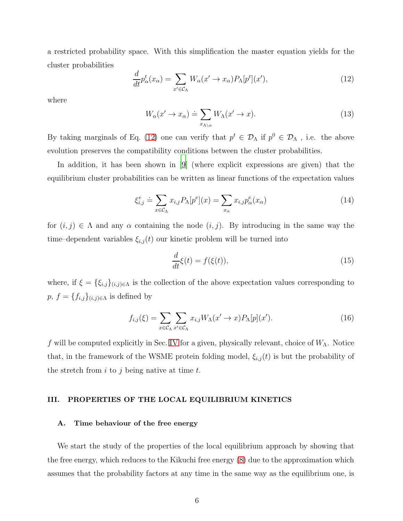a restricted probability space. With this simplification the master equation yields for the cluster probabilities

<span id="page-5-2"></span>
$$
\frac{d}{dt}p_{\alpha}^{t}(x_{\alpha}) = \sum_{x' \in \mathcal{C}_{\Lambda}} W_{\alpha}(x' \to x_{\alpha}) P_{\Lambda}[p^{t}](x'),\tag{12}
$$

where

<span id="page-5-3"></span>
$$
W_{\alpha}(x' \to x_{\alpha}) \doteq \sum_{x_{\Lambda \backslash \alpha}} W_{\Lambda}(x' \to x). \tag{13}
$$

By taking marginals of Eq. [\(12\)](#page-5-2) one can verify that  $p^t \in \mathcal{D}_\Lambda$  if  $p^0 \in \mathcal{D}_\Lambda$ , i.e. the above evolution preserves the compatibility conditions between the cluster probabilities.

In addition, it has been shown in [\[9\]](#page-23-8) (where explicit expressions are given) that the equilibrium cluster probabilities can be written as linear functions of the expectation values

$$
\xi_{i,j}^e \doteq \sum_{x \in \mathcal{C}_{\Lambda}} x_{i,j} P_{\Lambda}[p^e](x) = \sum_{x_{\alpha}} x_{i,j} p_{\alpha}^e(x_{\alpha}) \tag{14}
$$

for  $(i, j) \in \Lambda$  and any  $\alpha$  containing the node  $(i, j)$ . By introducing in the same way the time–dependent variables  $\xi_{i,j}(t)$  our kinetic problem will be turned into

<span id="page-5-4"></span>
$$
\frac{d}{dt}\xi(t) = f(\xi(t)),\tag{15}
$$

where, if  $\xi = \{\xi_{i,j}\}_{(i,j)\in\Lambda}$  is the collection of the above expectation values corresponding to  $p, f = \{f_{i,j}\}_{(i,j)\in\Lambda}$  is defined by

<span id="page-5-5"></span>
$$
f_{i,j}(\xi) = \sum_{x \in \mathcal{C}_{\Lambda}} \sum_{x' \in \mathcal{C}_{\Lambda}} x_{i,j} W_{\Lambda}(x' \to x) P_{\Lambda}[p](x'). \tag{16}
$$

f will be computed explicitly in Sec. [IV](#page-13-0) for a given, physically relevant, choice of  $W_{\Lambda}$ . Notice that, in the framework of the WSME protein folding model,  $\xi_{i,j}(t)$  is but the probability of the stretch from  $i$  to  $j$  being native at time  $t$ .

#### <span id="page-5-0"></span>III. PROPERTIES OF THE LOCAL EQUILIBRIUM KINETICS

#### <span id="page-5-1"></span>A. Time behaviour of the free energy

We start the study of the properties of the local equilibrium approach by showing that the free energy, which reduces to the Kikuchi free energy [\(8\)](#page-4-0) due to the approximation which assumes that the probability factors at any time in the same way as the equilibrium one, is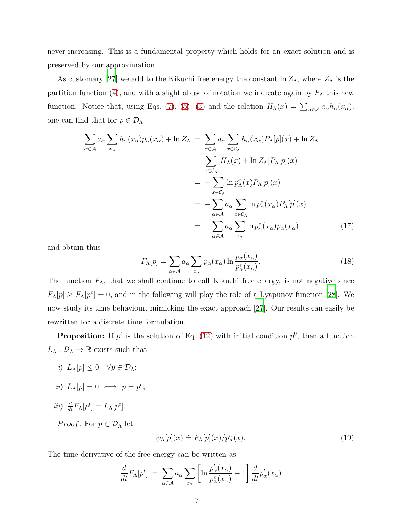never increasing. This is a fundamental property which holds for an exact solution and is preserved by our approximation.

As customary [\[27\]](#page-24-10) we add to the Kikuchi free energy the constant  $\ln Z_{\Lambda}$ , where  $Z_{\Lambda}$  is the partition function [\(4\)](#page-3-1), and with a slight abuse of notation we indicate again by  $F_{\Lambda}$  this new function. Notice that, using Eqs. [\(7\)](#page-4-1), [\(5\)](#page-3-0), [\(3\)](#page-3-2) and the relation  $H_{\Lambda}(x) = \sum_{\alpha \in A} a_{\alpha} h_{\alpha}(x_{\alpha})$ , one can find that for  $p \in \mathcal{D}_{\Lambda}$ 

$$
\sum_{\alpha \in A} a_{\alpha} \sum_{x_{\alpha}} h_{\alpha}(x_{\alpha}) p_{\alpha}(x_{\alpha}) + \ln Z_{\Lambda} = \sum_{\alpha \in A} a_{\alpha} \sum_{x \in C_{\Lambda}} h_{\alpha}(x_{\alpha}) P_{\Lambda}[p](x) + \ln Z_{\Lambda}
$$
\n
$$
= \sum_{x \in C_{\Lambda}} [H_{\Lambda}(x) + \ln Z_{\Lambda}] P_{\Lambda}[p](x)
$$
\n
$$
= -\sum_{x \in C_{\Lambda}} \ln p_{\Lambda}^{e}(x) P_{\Lambda}[p](x)
$$
\n
$$
= -\sum_{\alpha \in A} a_{\alpha} \sum_{x \in C_{\Lambda}} \ln p_{\alpha}^{e}(x_{\alpha}) P_{\Lambda}[p](x)
$$
\n
$$
= -\sum_{\alpha \in A} a_{\alpha} \sum_{x_{\alpha}} \ln p_{\alpha}^{e}(x_{\alpha}) p_{\alpha}(x_{\alpha}) \qquad (17)
$$

and obtain thus

$$
F_{\Lambda}[p] = \sum_{\alpha \in \mathcal{A}} a_{\alpha} \sum_{x_{\alpha}} p_{\alpha}(x_{\alpha}) \ln \frac{p_{\alpha}(x_{\alpha})}{p_{\alpha}^e(x_{\alpha})}.
$$
 (18)

The function  $F_{\Lambda}$ , that we shall continue to call Kikuchi free energy, is not negative since  $F_{\Lambda}[p] \geq F_{\Lambda}[p^e] = 0$ , and in the following will play the role of a Lyapunov function [\[28\]](#page-24-11). We now study its time behaviour, mimicking the exact approach [\[27](#page-24-10)]. Our results can easily be rewritten for a discrete time formulation.

**Proposition:** If  $p^t$  is the solution of Eq. [\(12\)](#page-5-2) with initial condition  $p^0$ , then a function  $L_{\Lambda}: \mathcal{D}_{\Lambda} \to \mathbb{R}$  exists such that

- i)  $L_{\Lambda}[p] \leq 0 \quad \forall p \in \mathcal{D}_{\Lambda};$
- ii)  $L_{\Lambda}[p] = 0 \iff p = p^e;$
- iii)  $\frac{d}{dt}F_{\Lambda}[p^t] = L_{\Lambda}[p^t].$

*Proof.* For  $p \in \mathcal{D}_\Lambda$  let

<span id="page-6-0"></span>
$$
\psi_{\Lambda}[p](x) \doteq P_{\Lambda}[p](x)/p_{\Lambda}^{e}(x). \tag{19}
$$

The time derivative of the free energy can be written as

$$
\frac{d}{dt}F_{\Lambda}[p^t] = \sum_{\alpha \in \mathcal{A}} a_{\alpha} \sum_{x_{\alpha}} \left[ \ln \frac{p_{\alpha}^t(x_{\alpha})}{p_{\alpha}^e(x_{\alpha})} + 1 \right] \frac{d}{dt} p_{\alpha}^t(x_{\alpha})
$$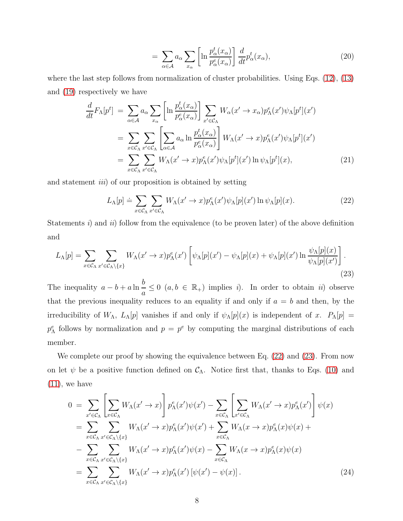$$
= \sum_{\alpha \in \mathcal{A}} a_{\alpha} \sum_{x_{\alpha}} \left[ \ln \frac{p_{\alpha}^{t}(x_{\alpha})}{p_{\alpha}^{e}(x_{\alpha})} \right] \frac{d}{dt} p_{\alpha}^{t}(x_{\alpha}), \tag{20}
$$

where the last step follows from normalization of cluster probabilities. Using Eqs.  $(12)$ ,  $(13)$ and [\(19\)](#page-6-0) respectively we have

$$
\frac{d}{dt}F_{\Lambda}[p^{t}] = \sum_{\alpha \in \mathcal{A}} a_{\alpha} \sum_{x_{\alpha}} \left[ \ln \frac{p_{\alpha}^{t}(x_{\alpha})}{p_{\alpha}^{e}(x_{\alpha})} \right] \sum_{x' \in \mathcal{C}_{\Lambda}} W_{\alpha}(x' \to x_{\alpha}) p_{\Lambda}^{e}(x') \psi_{\Lambda}[p^{t}](x')
$$
\n
$$
= \sum_{x \in \mathcal{C}_{\Lambda}} \sum_{x' \in \mathcal{C}_{\Lambda}} \left[ \sum_{\alpha \in \mathcal{A}} a_{\alpha} \ln \frac{p_{\alpha}^{t}(x_{\alpha})}{p_{\alpha}^{e}(x_{\alpha})} \right] W_{\Lambda}(x' \to x) p_{\Lambda}^{e}(x') \psi_{\Lambda}[p^{t}](x')
$$
\n
$$
= \sum_{x \in \mathcal{C}_{\Lambda}} \sum_{x' \in \mathcal{C}_{\Lambda}} W_{\Lambda}(x' \to x) p_{\Lambda}^{e}(x') \psi_{\Lambda}[p^{t}](x') \ln \psi_{\Lambda}[p^{t}](x), \tag{21}
$$

and statement *iii*) of our proposition is obtained by setting

<span id="page-7-0"></span>
$$
L_{\Lambda}[p] \doteq \sum_{x \in \mathcal{C}_{\Lambda}} \sum_{x' \in \mathcal{C}_{\Lambda}} W_{\Lambda}(x' \to x) p_{\Lambda}^{e}(x') \psi_{\Lambda}[p](x') \ln \psi_{\Lambda}[p](x).
$$
 (22)

Statements i) and ii) follow from the equivalence (to be proven later) of the above definition and

<span id="page-7-1"></span>
$$
L_{\Lambda}[p] = \sum_{x \in \mathcal{C}_{\Lambda}} \sum_{x' \in \mathcal{C}_{\Lambda} \setminus \{x\}} W_{\Lambda}(x' \to x) p_{\Lambda}^{e}(x') \left[ \psi_{\Lambda}[p](x') - \psi_{\Lambda}[p](x) + \psi_{\Lambda}[p](x') \ln \frac{\psi_{\Lambda}[p](x)}{\psi_{\Lambda}[p](x')} \right].
$$
\n(23)

The inequality  $a - b + a \ln \frac{b}{a}$  $\frac{a}{a} \leq 0$   $(a, b \in \mathbb{R}_{+})$  implies *i*). In order to obtain *ii*) observe that the previous inequality reduces to an equality if and only if  $a = b$  and then, by the irreducibility of  $W_{\Lambda}$ ,  $L_{\Lambda}[p]$  vanishes if and only if  $\psi_{\Lambda}[p](x)$  is independent of x.  $P_{\Lambda}[p] =$  $p_{\Lambda}^e$  follows by normalization and  $p = p^e$  by computing the marginal distributions of each member.

We complete our proof by showing the equivalence between Eq.  $(22)$  and  $(23)$ . From now on let  $\psi$  be a positive function defined on  $\mathcal{C}_{\Lambda}$ . Notice first that, thanks to Eqs. [\(10\)](#page-4-2) and  $(11)$ , we have

$$
0 = \sum_{x' \in \mathcal{C}_{\Lambda}} \left[ \sum_{x \in \mathcal{C}_{\Lambda}} W_{\Lambda}(x' \to x) \right] p_{\Lambda}^{e}(x') \psi(x') - \sum_{x \in \mathcal{C}_{\Lambda}} \left[ \sum_{x' \in \mathcal{C}_{\Lambda}} W_{\Lambda}(x' \to x) p_{\Lambda}^{e}(x') \right] \psi(x)
$$
  
\n
$$
= \sum_{x \in \mathcal{C}_{\Lambda}} \sum_{x' \in \mathcal{C}_{\Lambda} \setminus \{x\}} W_{\Lambda}(x' \to x) p_{\Lambda}^{e}(x') \psi(x') + \sum_{x \in \mathcal{C}_{\Lambda}} W_{\Lambda}(x \to x) p_{\Lambda}^{e}(x) \psi(x) +
$$
  
\n
$$
- \sum_{x \in \mathcal{C}_{\Lambda}} \sum_{x' \in \mathcal{C}_{\Lambda} \setminus \{x\}} W_{\Lambda}(x' \to x) p_{\Lambda}^{e}(x') \psi(x) - \sum_{x \in \mathcal{C}_{\Lambda}} W_{\Lambda}(x \to x) p_{\Lambda}^{e}(x) \psi(x)
$$
  
\n
$$
= \sum_{x \in \mathcal{C}_{\Lambda}} \sum_{x' \in \mathcal{C}_{\Lambda} \setminus \{x\}} W_{\Lambda}(x' \to x) p_{\Lambda}^{e}(x') \left[ \psi(x') - \psi(x) \right]. \tag{24}
$$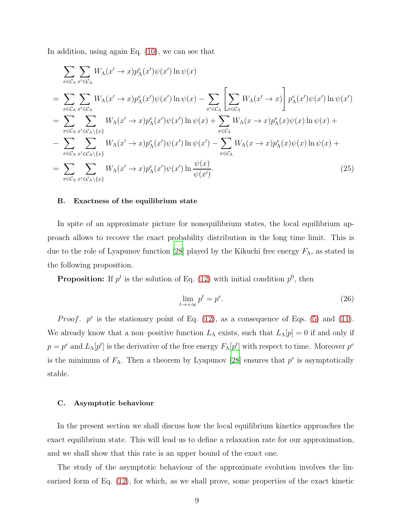In addition, using again Eq. [\(10\)](#page-4-2), we can see that

$$
\sum_{x \in \mathcal{C}_{\Lambda}} \sum_{x' \in \mathcal{C}_{\Lambda}} W_{\Lambda}(x' \to x) p_{\Lambda}^{e}(x') \psi(x') \ln \psi(x)
$$
\n
$$
= \sum_{x \in \mathcal{C}_{\Lambda}} \sum_{x' \in \mathcal{C}_{\Lambda}} W_{\Lambda}(x' \to x) p_{\Lambda}^{e}(x') \psi(x') \ln \psi(x) - \sum_{x' \in \mathcal{C}_{\Lambda}} \left[ \sum_{x \in \mathcal{C}_{\Lambda}} W_{\Lambda}(x' \to x) \right] p_{\Lambda}^{e}(x') \psi(x') \ln \psi(x')
$$
\n
$$
= \sum_{x \in \mathcal{C}_{\Lambda}} \sum_{x' \in \mathcal{C}_{\Lambda} \setminus \{x\}} W_{\Lambda}(x' \to x) p_{\Lambda}^{e}(x') \psi(x') \ln \psi(x) + \sum_{x \in \mathcal{C}_{\Lambda}} W_{\Lambda}(x \to x) p_{\Lambda}^{e}(x) \psi(x) \ln \psi(x) + \sum_{x \in \mathcal{C}_{\Lambda}} W_{\Lambda}(x' \to x) p_{\Lambda}^{e}(x') \psi(x') \ln \psi(x') - \sum_{x \in \mathcal{C}_{\Lambda}} W_{\Lambda}(x \to x) p_{\Lambda}^{e}(x) \psi(x) \ln \psi(x) + \sum_{x \in \mathcal{C}_{\Lambda}} \sum_{x' \in \mathcal{C}_{\Lambda} \setminus \{x\}} W_{\Lambda}(x' \to x) p_{\Lambda}^{e}(x') \psi(x') \ln \frac{\psi(x)}{\psi(x')}.
$$
\n(25)

#### <span id="page-8-0"></span>B. Exactness of the equilibrium state

In spite of an approximate picture for nonequilibrium states, the local equilibrium approach allows to recover the exact probability distribution in the long time limit. This is due to the role of Lyapunov function [\[28](#page-24-11)] played by the Kikuchi free energy  $F_{\Lambda}$ , as stated in the following proposition.

**Proposition:** If  $p^t$  is the solution of Eq. [\(12\)](#page-5-2) with initial condition  $p^0$ , then

$$
\lim_{t \to +\infty} p^t = p^e. \tag{26}
$$

*Proof.*  $p^e$  is the stationary point of Eq. [\(12\)](#page-5-2), as a consequence of Eqs. [\(5\)](#page-3-0) and [\(11\)](#page-4-3). We already know that a non–positive function  $L_{\Lambda}$  exists, such that  $L_{\Lambda}[p] = 0$  if and only if  $p = p^e$  and  $L_\Lambda[p^t]$  is the derivative of the free energy  $F_\Lambda[p^t]$  with respect to time. Moreover  $p^e$ is the minimum of  $F_{\Lambda}$ . Then a theorem by Lyapunov [\[28\]](#page-24-11) ensures that  $p^e$  is asymptotically stable.

#### <span id="page-8-1"></span>C. Asymptotic behaviour

In the present section we shall discuss how the local equilibrium kinetics approaches the exact equilibrium state. This will lead us to define a relaxation rate for our approximation, and we shall show that this rate is an upper bound of the exact one.

The study of the asymptotic behaviour of the approximate evolution involves the linearized form of Eq. [\(12\)](#page-5-2), for which, as we shall prove, some properties of the exact kinetic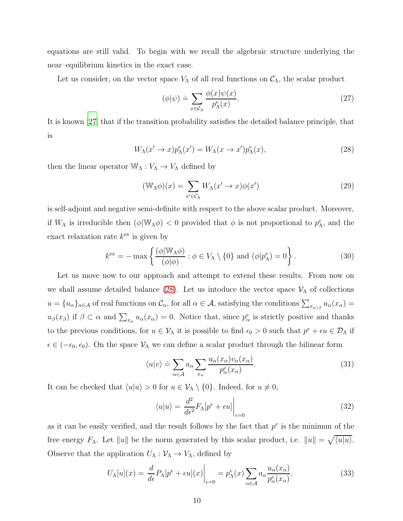equations are still valid. To begin with we recall the algebraic structure underlying the near–equilibrium kinetics in the exact case.

Let us consider, on the vector space  $V_{\Lambda}$  of all real functions on  $\mathcal{C}_{\Lambda}$ , the scalar product

$$
(\phi|\psi) \doteq \sum_{x \in \mathcal{C}_{\Lambda}} \frac{\phi(x)\psi(x)}{p_{\Lambda}^e(x)}.
$$
\n(27)

It is known [\[27\]](#page-24-10) that if the transition probability satisfies the detailed balance principle, that is

<span id="page-9-0"></span>
$$
W_{\Lambda}(x' \to x)p_{\Lambda}^{e}(x') = W_{\Lambda}(x \to x')p_{\Lambda}^{e}(x), \qquad (28)
$$

then the linear operator  $\mathbb{W}_{\Lambda}: V_{\Lambda} \to V_{\Lambda}$  defined by

$$
(\mathbb{W}_{\Lambda}\phi)(x) = \sum_{x' \in \mathcal{C}_{\Lambda}} W_{\Lambda}(x' \to x)\phi(x')
$$
 (29)

is self-adjoint and negative semi-definite with respect to the above scalar product. Moreover, if  $W_{\Lambda}$  is irreducible then  $(\phi | \mathbb{W}_{\Lambda} \phi) < 0$  provided that  $\phi$  is not proportional to  $p_{\Lambda}^e$ , and the exact relaxation rate  $k^{\text{ex}}$  is given by

$$
k^{\text{ex}} = -\max\left\{\frac{(\phi|\mathbb{W}_{\Lambda}\phi)}{(\phi|\phi)} : \phi \in V_{\Lambda} \setminus \{0\} \text{ and } (\phi|p_{\Lambda}^{e}) = 0\right\}.
$$
 (30)

Let us move now to our approach and attempt to extend these results. From now on we shall assume detailed balance [\(28\)](#page-9-0). Let us intoduce the vector space  $\mathcal{V}_\Lambda$  of collections  $u = \{u_\alpha\}_{\alpha \in \mathcal{A}}$  of real functions on  $\mathcal{C}_\alpha$ , for all  $\alpha \in \mathcal{A}$ , satisfying the conditions  $\sum_{x_{\alpha \setminus \beta}} u_\alpha(x_\alpha) =$  $u_{\beta}(x_{\beta})$  if  $\beta \subset \alpha$  and  $\sum_{x_{\alpha}} u_{\alpha}(x_{\alpha}) = 0$ . Notice that, since  $p_{\alpha}^{e}$  is strictly positive and thanks to the previous conditions, for  $u \in V_\Lambda$  it is possible to find  $\epsilon_0 > 0$  such that  $p^e + \epsilon u \in \mathcal{D}_\Lambda$  if  $\epsilon \in (-\epsilon_0, \epsilon_0)$ . On the space  $\mathcal{V}_\Lambda$  we can define a scalar product through the bilinear form

$$
\langle u|v\rangle \doteq \sum_{\alpha \in \mathcal{A}} a_{\alpha} \sum_{x_{\alpha}} \frac{u_{\alpha}(x_{\alpha})v_{\alpha}(x_{\alpha})}{p_{\alpha}^e(x_{\alpha})}.
$$
 (31)

It can be checked that  $\langle u|u \rangle > 0$  for  $u \in V_{\Lambda} \setminus \{0\}$ . Indeed, for  $u \neq 0$ ,

$$
\langle u|u\rangle = \frac{d^2}{d\epsilon^2} F_{\Lambda} [p^e + \epsilon u] \Big|_{\epsilon=0} \tag{32}
$$

as it can be easily verified, and the result follows by the fact that  $p^e$  is the minimun of the free energy  $F_{\Lambda}$ . Let  $||u||$  be the norm generated by this scalar product, i.e.  $||u|| = \sqrt{\langle u|u \rangle}$ . Observe that the application  $U_{\Lambda}: \mathcal{V}_{\Lambda} \to V_{\Lambda}$ , defined by

$$
U_{\Lambda}[u](x) = \frac{d}{d\epsilon} P_{\Lambda}[p^e + \epsilon u](x)\Big|_{\epsilon=0} = p_{\Lambda}^e(x) \sum_{\alpha \in \mathcal{A}} a_{\alpha} \frac{u_{\alpha}(x_{\alpha})}{p_{\alpha}^e(x_{\alpha})},\tag{33}
$$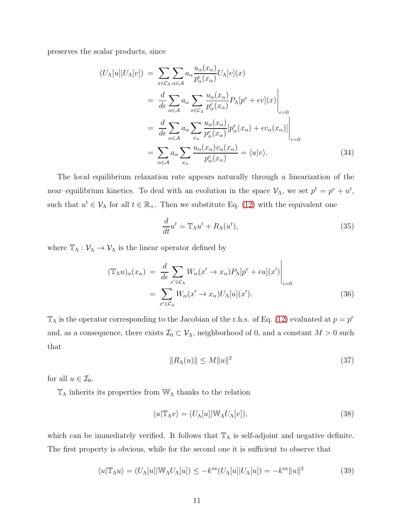preserves the scalar products, since

$$
(U_{\Lambda}[u]|U_{\Lambda}[v]) = \sum_{x \in \mathcal{C}_{\Lambda}} \sum_{\alpha \in \mathcal{A}} a_{\alpha} \frac{u_{\alpha}(x_{\alpha})}{p_{\alpha}^{e}(x_{\alpha})} U_{\Lambda}[v](x)
$$
  
\n
$$
= \frac{d}{d\epsilon} \sum_{\alpha \in \mathcal{A}} a_{\alpha} \sum_{x \in \mathcal{C}_{\Lambda}} \frac{u_{\alpha}(x_{\alpha})}{p_{\alpha}^{e}(x_{\alpha})} P_{\Lambda}[p^{e} + \epsilon v](x) \Big|_{\epsilon=0}
$$
  
\n
$$
= \frac{d}{d\epsilon} \sum_{\alpha \in \mathcal{A}} a_{\alpha} \sum_{x_{\alpha}} \frac{u_{\alpha}(x_{\alpha})}{p_{\alpha}^{e}(x_{\alpha})} [p_{\alpha}^{e}(x_{\alpha}) + \epsilon v_{\alpha}(x_{\alpha})] \Big|_{\epsilon=0}
$$
  
\n
$$
= \sum_{\alpha \in \mathcal{A}} a_{\alpha} \sum_{x_{\alpha}} \frac{u_{\alpha}(x_{\alpha}) v_{\alpha}(x_{\alpha})}{p_{\alpha}^{e}(x_{\alpha})} = \langle u|v \rangle.
$$
 (34)

The local equilibrium relaxation rate appears naturally through a linearization of the near-equilibrium kinetics. To deal with an evolution in the space  $\mathcal{V}_{\Lambda}$ , we set  $p^t = p^e + u^t$ , such that  $u^t \in \mathcal{V}_\Lambda$  for all  $t \in \mathbb{R}_+$ . Then we substitute Eq. [\(12\)](#page-5-2) with the equivalent one

<span id="page-10-1"></span>
$$
\frac{d}{dt}u^t = \mathbb{T}_{\Lambda}u^t + R_{\Lambda}(u^t),\tag{35}
$$

where  $\mathbb{T}_{\Lambda}: \mathcal{V}_{\Lambda} \to \mathcal{V}_{\Lambda}$  is the linear operator defined by

$$
(\mathbb{T}_{\Lambda}u)_{\alpha}(x_{\alpha}) = \frac{d}{d\epsilon} \sum_{x' \in \mathcal{C}_{\Lambda}} W_{\alpha}(x' \to x_{\alpha}) P_{\Lambda}[p^{\epsilon} + \epsilon u](x') \Big|_{\epsilon=0}
$$
  

$$
= \sum_{x' \in \mathcal{C}_{\Lambda}} W_{\alpha}(x' \to x_{\alpha}) U_{\Lambda}[u](x'). \tag{36}
$$

 $\mathbb{T}_\Lambda$  is the operator corresponding to the Jacobian of the r.h.s. of Eq. [\(12\)](#page-5-2) evaluated at  $p = p^e$ and, as a consequence, there exists  $\mathcal{I}_0 \subset \mathcal{V}_\Lambda$ , neighborhood of 0, and a constant  $M > 0$  such that

<span id="page-10-2"></span>
$$
||R_{\Lambda}(u)|| \le M||u||^2 \tag{37}
$$

for all  $u \in \mathcal{I}_0$ .

 $\mathbb{T}_\Lambda$  inherits its properties from  $\mathbb{W}_\Lambda$  thanks to the relation

$$
\langle u|\mathbb{T}_{\Lambda}v\rangle = (U_{\Lambda}[u]|\mathbb{W}_{\Lambda}U_{\Lambda}[v]),\tag{38}
$$

which can be immediately verified. It follows that  $\mathbb{T}_{\Lambda}$  is self-adjoint and negative definite. The first property is obvious, while for the second one it is sufficient to observe that

<span id="page-10-0"></span>
$$
\langle u|\mathbb{T}_{\Lambda}u\rangle = (U_{\Lambda}[u]|\mathbb{W}_{\Lambda}U_{\Lambda}[u]) \le -k^{\text{ex}}(U_{\Lambda}[u]|U_{\Lambda}[u]) = -k^{\text{ex}}\|u\|^{2}
$$
(39)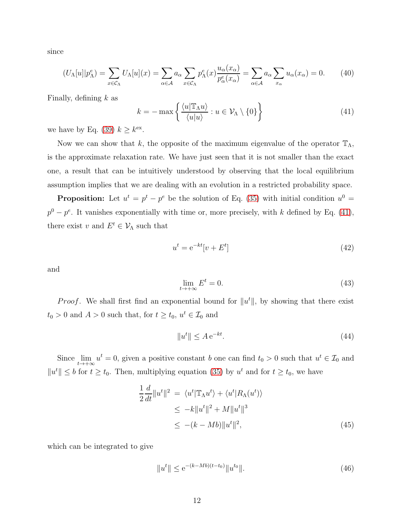since

$$
(U_{\Lambda}[u]|p_{\Lambda}^{e}) = \sum_{x \in \mathcal{C}_{\Lambda}} U_{\Lambda}[u](x) = \sum_{\alpha \in \mathcal{A}} a_{\alpha} \sum_{x \in \mathcal{C}_{\Lambda}} p_{\Lambda}^{e}(x) \frac{u_{\alpha}(x_{\alpha})}{p_{\alpha}^{e}(x_{\alpha})} = \sum_{\alpha \in \mathcal{A}} a_{\alpha} \sum_{x_{\alpha}} u_{\alpha}(x_{\alpha}) = 0. \tag{40}
$$

Finally, defining  $k$  as

<span id="page-11-0"></span>
$$
k = -\max\left\{\frac{\langle u|\mathbb{T}_{\Lambda}u\rangle}{\langle u|u\rangle} : u \in \mathcal{V}_{\Lambda} \setminus \{0\}\right\}
$$
(41)

we have by Eq. [\(39\)](#page-10-0)  $k \geq k^{\text{ex}}$ .

Now we can show that k, the opposite of the maximum eigenvalue of the operator  $\mathbb{T}_{\Lambda}$ , is the approximate relaxation rate. We have just seen that it is not smaller than the exact one, a result that can be intuitively understood by observing that the local equilibrium assumption implies that we are dealing with an evolution in a restricted probability space.

**Proposition:** Let  $u^t = p^t - p^e$  be the solution of Eq. [\(35\)](#page-10-1) with initial condition  $u^0 =$  $p^{0} - p^{e}$ . It vanishes exponentially with time or, more precisely, with k defined by Eq. [\(41\)](#page-11-0), there exist v and  $E^t \in \mathcal{V}_\Lambda$  such that

$$
u^t = e^{-kt}[v + E^t] \tag{42}
$$

and

$$
\lim_{t \to +\infty} E^t = 0. \tag{43}
$$

*Proof.* We shall first find an exponential bound for  $||u^t||$ , by showing that there exist  $t_0 > 0$  and  $A > 0$  such that, for  $t \ge t_0$ ,  $u^t \in \mathcal{I}_0$  and

<span id="page-11-2"></span>
$$
||u^t|| \le A e^{-kt}.\tag{44}
$$

Since  $\lim_{t\to+\infty}u^t=0$ , given a positive constant b one can find  $t_0>0$  such that  $u^t\in\mathcal{I}_0$  and  $||u^t|| \leq b$  for  $t \geq t_0$ . Then, multiplying equation [\(35\)](#page-10-1) by  $u^t$  and for  $t \geq t_0$ , we have

<span id="page-11-1"></span>
$$
\frac{1}{2}\frac{d}{dt}\|u^t\|^2 = \langle u^t|\mathbb{T}_{\Lambda}u^t\rangle + \langle u^t|R_{\Lambda}(u^t)\rangle
$$
  
\n
$$
\leq -k\|u^t\|^2 + M\|u^t\|^3
$$
  
\n
$$
\leq -(k - Mb)\|u^t\|^2,
$$
\n(45)

which can be integrated to give

$$
||u^t|| \le e^{-(k-Mb)(t-t_0)} ||u^{t_0}||. \tag{46}
$$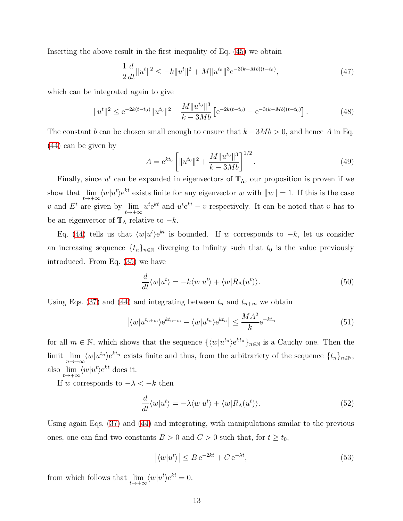Inserting the above result in the first inequality of Eq. [\(45\)](#page-11-1) we obtain

$$
\frac{1}{2}\frac{d}{dt}\|u^t\|^2 \le -k\|u^t\|^2 + M\|u^{t_0}\|^3 e^{-3(k-Mb)(t-t_0)},\tag{47}
$$

which can be integrated again to give

$$
||u^t||^2 \le e^{-2k(t-t_0)}||u^{t_0}||^2 + \frac{M||u^{t_0}||^3}{k - 3Mb} \left[e^{-2k(t-t_0)} - e^{-3(k - Mb)(t-t_0)}\right]. \tag{48}
$$

The constant b can be chosen small enough to ensure that  $k - 3Mb > 0$ , and hence A in Eq. [\(44\)](#page-11-2) can be given by

$$
A = e^{kt_0} \left[ ||u^{t_0}||^2 + \frac{M||u^{t_0}||^3}{k - 3Mb} \right]^{1/2}.
$$
 (49)

Finally, since  $u^t$  can be expanded in eigenvectors of  $\mathbb{T}_\Lambda$ , our proposition is proven if we show that  $\lim_{t\to+\infty} \langle w|u^t\rangle e^{kt}$  exists finite for any eigenvector w with  $||w|| = 1$ . If this is the case v and  $E^t$  are given by  $\lim_{t\to+\infty}u^te^{kt}$  and  $u^te^{kt}-v$  respectively. It can be noted that v has to be an eigenvector of  $\mathbb{T}_{\Lambda}$  relative to  $-k$ .

Eq. [\(44\)](#page-11-2) tells us that  $\langle w|u^t\rangle e^{kt}$  is bounded. If w corresponds to  $-k$ , let us consider an increasing sequence  $\{t_n\}_{n\in\mathbb{N}}$  diverging to infinity such that  $t_0$  is the value previously introduced. From Eq. [\(35\)](#page-10-1) we have

$$
\frac{d}{dt}\langle w|u^t\rangle = -k\langle w|u^t\rangle + \langle w|R_{\Lambda}(u^t)\rangle.
$$
\n(50)

Using Eqs. [\(37\)](#page-10-2) and [\(44\)](#page-11-2) and integrating between  $t_n$  and  $t_{n+m}$  we obtain

$$
\left| \langle w | u^{t_{n+m}} \rangle e^{kt_{n+m}} - \langle w | u^{t_n} \rangle e^{kt_n} \right| \le \frac{M A^2}{k} e^{-kt_n}
$$
\n
$$
(51)
$$

for all  $m \in \mathbb{N}$ , which shows that the sequence  $\{\langle w|u^{t_n}\rangle e^{kt_n}\}_{n\in\mathbb{N}}$  is a Cauchy one. Then the limit  $\lim_{n\to+\infty} \langle w|u^{t_n}\rangle e^{kt_n}$  exists finite and thus, from the arbitrariety of the sequence  $\{t_n\}_{n\in\mathbb{N}},$ also  $\lim_{t\to+\infty}\langle w|u^t\rangle e^{kt}$  does it.

If w corresponds to  $-\lambda < -k$  then

$$
\frac{d}{dt}\langle w|u^t\rangle = -\lambda\langle w|u^t\rangle + \langle w|R_{\Lambda}(u^t)\rangle.
$$
\n(52)

Using again Eqs. [\(37\)](#page-10-2) and [\(44\)](#page-11-2) and integrating, with manipulations similar to the previous ones, one can find two constants  $B > 0$  and  $C > 0$  such that, for  $t \ge t_0$ ,

$$
\left| \langle w | u^t \rangle \right| \leq B e^{-2kt} + C e^{-\lambda t},\tag{53}
$$

from which follows that  $\lim_{t \to +\infty} \langle w | u^t \rangle e^{kt} = 0.$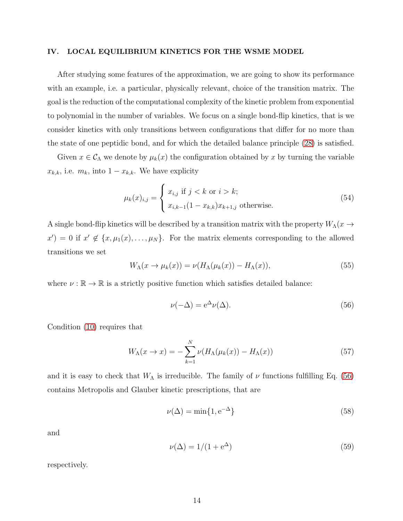#### <span id="page-13-0"></span>IV. LOCAL EQUILIBRIUM KINETICS FOR THE WSME MODEL

After studying some features of the approximation, we are going to show its performance with an example, i.e. a particular, physically relevant, choice of the transition matrix. The goal is the reduction of the computational complexity of the kinetic problem from exponential to polynomial in the number of variables. We focus on a single bond-flip kinetics, that is we consider kinetics with only transitions between configurations that differ for no more than the state of one peptidic bond, and for which the detailed balance principle [\(28\)](#page-9-0) is satisfied.

Given  $x \in C_\Lambda$  we denote by  $\mu_k(x)$  the configuration obtained by x by turning the variable  $x_{k,k}$ , i.e.  $m_k$ , into  $1 - x_{k,k}$ . We have explicity

$$
\mu_k(x)_{i,j} = \begin{cases} x_{i,j} \text{ if } j < k \text{ or } i > k; \\ x_{i,k-1}(1 - x_{k,k})x_{k+1,j} \text{ otherwise.} \end{cases}
$$
(54)

A single bond-flip kinetics will be described by a transition matrix with the property  $W_\Lambda(x \to$  $x'$  = 0 if  $x' \notin \{x, \mu_1(x), \ldots, \mu_N\}$ . For the matrix elements corresponding to the allowed transitions we set

<span id="page-13-2"></span>
$$
W_{\Lambda}(x \to \mu_k(x)) = \nu(H_{\Lambda}(\mu_k(x)) - H_{\Lambda}(x)), \tag{55}
$$

where  $\nu : \mathbb{R} \to \mathbb{R}$  is a strictly positive function which satisfies detailed balance:

<span id="page-13-1"></span>
$$
\nu(-\Delta) = e^{\Delta} \nu(\Delta). \tag{56}
$$

Condition [\(10\)](#page-4-2) requires that

<span id="page-13-3"></span>
$$
W_{\Lambda}(x \to x) = -\sum_{k=1}^{N} \nu(H_{\Lambda}(\mu_k(x)) - H_{\Lambda}(x)) \tag{57}
$$

and it is easy to check that  $W_{\Lambda}$  is irreducible. The family of  $\nu$  functions fulfilling Eq. [\(56\)](#page-13-1) contains Metropolis and Glauber kinetic prescriptions, that are

$$
\nu(\Delta) = \min\{1, e^{-\Delta}\}\tag{58}
$$

and

$$
\nu(\Delta) = 1/(1 + e^{\Delta})\tag{59}
$$

respectively.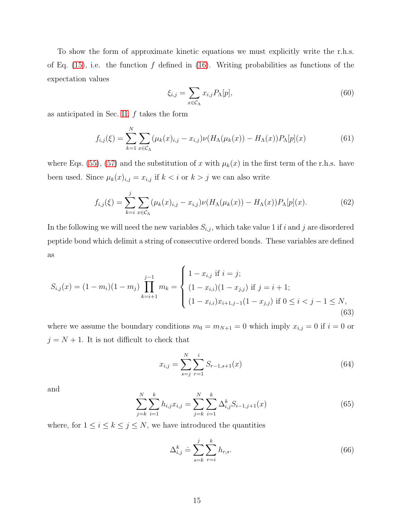To show the form of approximate kinetic equations we must explicitly write the r.h.s. of Eq.  $(15)$ , i.e. the function f defined in  $(16)$ . Writing probabilities as functions of the expectation values

$$
\xi_{i,j} = \sum_{x \in \mathcal{C}_{\Lambda}} x_{i,j} P_{\Lambda}[p],\tag{60}
$$

as anticipated in Sec. [II,](#page-2-0)  $f$  takes the form

$$
f_{i,j}(\xi) = \sum_{k=1}^{N} \sum_{x \in \mathcal{C}_{\Lambda}} (\mu_k(x)_{i,j} - x_{i,j}) \nu(H_{\Lambda}(\mu_k(x)) - H_{\Lambda}(x)) P_{\Lambda}[p](x)
$$
(61)

where Eqs. [\(55\)](#page-13-2), [\(57\)](#page-13-3) and the substitution of x with  $\mu_k(x)$  in the first term of the r.h.s. have been used. Since  $\mu_k(x)_{i,j} = x_{i,j}$  if  $k < i$  or  $k > j$  we can also write

<span id="page-14-0"></span>
$$
f_{i,j}(\xi) = \sum_{k=i}^{j} \sum_{x \in \mathcal{C}_{\Lambda}} (\mu_k(x)_{i,j} - x_{i,j}) \nu(H_{\Lambda}(\mu_k(x)) - H_{\Lambda}(x)) P_{\Lambda}[p](x).
$$
 (62)

In the following we will need the new variables  $S_{i,j}$ , which take value 1 if i and j are disordered peptide bond which delimit a string of consecutive ordered bonds. These variables are defined as

$$
S_{i,j}(x) = (1 - m_i)(1 - m_j) \prod_{k=i+1}^{j-1} m_k = \begin{cases} 1 - x_{i,j} \text{ if } i = j; \\ (1 - x_{i,j})(1 - x_{j,j}) \text{ if } j = i+1; \\ (1 - x_{i,i})x_{i+1,j-1}(1 - x_{j,j}) \text{ if } 0 \le i < j-1 \le N, \end{cases}
$$
(63)

where we assume the boundary conditions  $m_0 = m_{N+1} = 0$  which imply  $x_{i,j} = 0$  if  $i = 0$  or  $j = N + 1$ . It is not difficult to check that

$$
x_{i,j} = \sum_{s=j}^{N} \sum_{r=1}^{i} S_{r-1,s+1}(x)
$$
\n(64)

and

<span id="page-14-1"></span>
$$
\sum_{j=k}^{N} \sum_{i=1}^{k} h_{i,j} x_{i,j} = \sum_{j=k}^{N} \sum_{i=1}^{k} \Delta_{i,j}^{k} S_{i-1,j+1}(x)
$$
(65)

where, for  $1 \leq i \leq k \leq j \leq N$ , we have introduced the quantities

$$
\Delta_{i,j}^k \doteq \sum_{s=k}^j \sum_{r=i}^k h_{r,s}.\tag{66}
$$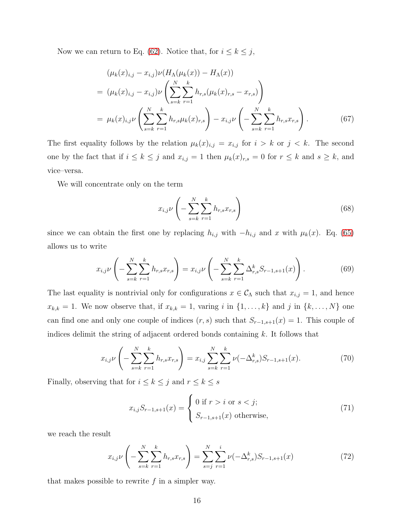Now we can return to Eq. [\(62\)](#page-14-0). Notice that, for  $i \leq k \leq j$ ,

<span id="page-15-1"></span>
$$
(\mu_k(x)_{i,j} - x_{i,j})\nu(H_{\Lambda}(\mu_k(x)) - H_{\Lambda}(x))
$$
  
=  $(\mu_k(x)_{i,j} - x_{i,j})\nu\left(\sum_{s=k}^N \sum_{r=1}^k h_{r,s}(\mu_k(x)_{r,s} - x_{r,s})\right)$   
=  $\mu_k(x)_{i,j}\nu\left(\sum_{s=k}^N \sum_{r=1}^k h_{r,s}\mu_k(x)_{r,s}\right) - x_{i,j}\nu\left(-\sum_{s=k}^N \sum_{r=1}^k h_{r,s}x_{r,s}\right).$  (67)

The first equality follows by the relation  $\mu_k(x)_{i,j} = x_{i,j}$  for  $i > k$  or  $j < k$ . The second one by the fact that if  $i \leq k \leq j$  and  $x_{i,j} = 1$  then  $\mu_k(x)_{r,s} = 0$  for  $r \leq k$  and  $s \geq k$ , and vice–versa.

We will concentrate only on the term

$$
x_{i,j}\nu\left(-\sum_{s=k}^{N}\sum_{r=1}^{k}h_{r,s}x_{r,s}\right)
$$
\n(68)

since we can obtain the first one by replacing  $h_{i,j}$  with  $-h_{i,j}$  and x with  $\mu_k(x)$ . Eq. [\(65\)](#page-14-1) allows us to write

$$
x_{i,j}\nu\left(-\sum_{s=k}^{N}\sum_{r=1}^{k}h_{r,s}x_{r,s}\right) = x_{i,j}\nu\left(-\sum_{s=k}^{N}\sum_{r=1}^{k}\Delta_{r,s}^{k}S_{r-1,s+1}(x)\right).
$$
 (69)

The last equality is nontrivial only for configurations  $x \in C_{\Lambda}$  such that  $x_{i,j} = 1$ , and hence  $x_{k,k} = 1$ . We now observe that, if  $x_{k,k} = 1$ , varing i in  $\{1, \ldots, k\}$  and j in  $\{k, \ldots, N\}$  one can find one and only one couple of indices  $(r, s)$  such that  $S_{r-1,s+1}(x) = 1$ . This couple of indices delimit the string of adjacent ordered bonds containing k. It follows that

$$
x_{i,j}\nu\left(-\sum_{s=k}^{N}\sum_{r=1}^{k}h_{r,s}x_{r,s}\right) = x_{i,j}\sum_{s=k}^{N}\sum_{r=1}^{k}\nu(-\Delta_{r,s}^{k})S_{r-1,s+1}(x). \tag{70}
$$

Finally, observing that for  $i\leq k\leq j$  and  $r\leq k\leq s$ 

$$
x_{i,j} S_{r-1,s+1}(x) = \begin{cases} 0 \text{ if } r > i \text{ or } s < j; \\ S_{r-1,s+1}(x) \text{ otherwise,} \end{cases}
$$
(71)

we reach the result

<span id="page-15-0"></span>
$$
x_{i,j}\nu\left(-\sum_{s=k}^{N}\sum_{r=1}^{k}h_{r,s}x_{r,s}\right) = \sum_{s=j}^{N}\sum_{r=1}^{i}\nu(-\Delta_{r,s}^{k})S_{r-1,s+1}(x)
$$
\n(72)

that makes possible to rewrite  $f$  in a simpler way.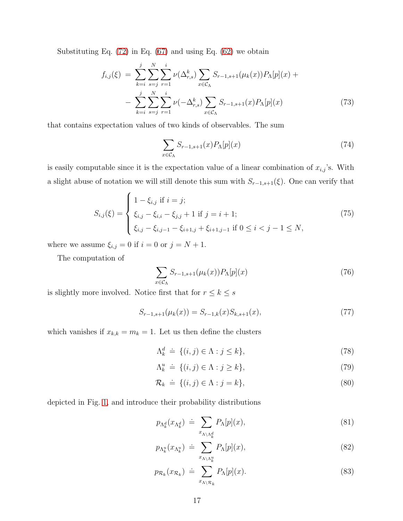Substituting Eq.  $(72)$  in Eq.  $(67)$  and using Eq.  $(62)$  we obtain

<span id="page-16-1"></span>
$$
f_{i,j}(\xi) = \sum_{k=i}^{j} \sum_{s=j}^{N} \sum_{r=1}^{i} \nu(\Delta_{r,s}^{k}) \sum_{x \in \mathcal{C}_{\Lambda}} S_{r-1,s+1}(\mu_k(x)) P_{\Lambda}[p](x) +
$$
  

$$
- \sum_{k=i}^{j} \sum_{s=j}^{N} \sum_{r=1}^{i} \nu(-\Delta_{r,s}^{k}) \sum_{x \in \mathcal{C}_{\Lambda}} S_{r-1,s+1}(x) P_{\Lambda}[p](x) \qquad (73)
$$

that contains expectation values of two kinds of observables. The sum

$$
\sum_{x \in \mathcal{C}_{\Lambda}} S_{r-1,s+1}(x) P_{\Lambda}[p](x) \tag{74}
$$

is easily computable since it is the expectation value of a linear combination of  $x_{i,j}$ 's. With a slight abuse of notation we will still denote this sum with  $S_{r-1,s+1}(\xi)$ . One can verify that

$$
S_{i,j}(\xi) = \begin{cases} 1 - \xi_{i,j} \text{ if } i = j; \\ \xi_{i,j} - \xi_{i,i} - \xi_{j,j} + 1 \text{ if } j = i + 1; \\ \xi_{i,j} - \xi_{i,j-1} - \xi_{i+1,j} + \xi_{i+1,j-1} \text{ if } 0 \le i < j - 1 \le N, \end{cases}
$$
(75)

where we assume  $\xi_{i,j} = 0$  if  $i = 0$  or  $j = N + 1$ .

The computation of

<span id="page-16-0"></span>
$$
\sum_{x \in \mathcal{C}_{\Lambda}} S_{r-1,s+1}(\mu_k(x)) P_{\Lambda}[p](x) \tag{76}
$$

is slightly more involved. Notice first that for  $r \leq k \leq s$ 

$$
S_{r-1,s+1}(\mu_k(x)) = S_{r-1,k}(x)S_{k,s+1}(x),\tag{77}
$$

which vanishes if  $x_{k,k} = m_k = 1$ . Let us then define the clusters

$$
\Lambda_k^d \doteq \{ (i, j) \in \Lambda : j \le k \},\tag{78}
$$

$$
\Lambda_k^u \doteq \{ (i,j) \in \Lambda : j \ge k \},\tag{79}
$$

$$
\mathcal{R}_k \doteq \{ (i,j) \in \Lambda : j = k \},\tag{80}
$$

depicted in Fig. [1,](#page-17-0) and introduce their probability distributions

$$
p_{\Lambda_k^d}(x_{\Lambda_k^d}) \doteq \sum_{x_{\Lambda \backslash \Lambda_k^d}} P_{\Lambda}[p](x), \tag{81}
$$

$$
p_{\Lambda_k^u}(x_{\Lambda_k^u}) \doteq \sum_{x_{\Lambda \backslash \Lambda_k^u}} P_{\Lambda}[p](x), \tag{82}
$$

$$
p_{\mathcal{R}_k}(x_{\mathcal{R}_k}) \doteq \sum_{x_{\Lambda \backslash \mathcal{R}_k}} P_{\Lambda}[p](x). \tag{83}
$$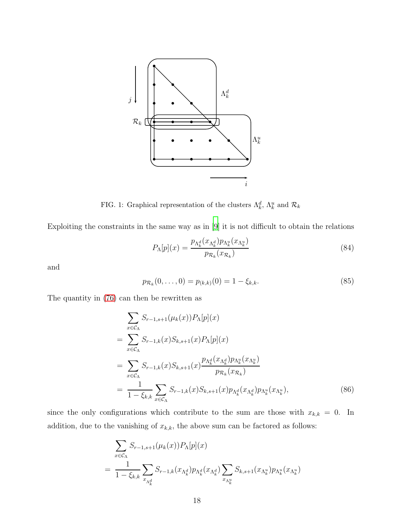

<span id="page-17-0"></span>FIG. 1: Graphical representation of the clusters  $\Lambda_k^d$ ,  $\Lambda_k^u$  and  $\mathcal{R}_k$ 

Exploiting the constraints in the same way as in [\[9\]](#page-23-8) it is not difficult to obtain the relations

$$
P_{\Lambda}[p](x) = \frac{p_{\Lambda_k^d}(x_{\Lambda_k^d})p_{\Lambda_k^u}(x_{\Lambda_k^u})}{p_{\mathcal{R}_k}(x_{\mathcal{R}_k})}
$$
(84)

and

$$
p_{\mathcal{R}_k}(0,\ldots,0) = p_{(k,k)}(0) = 1 - \xi_{k,k}.
$$
\n(85)

The quantity in [\(76\)](#page-16-0) can then be rewritten as

$$
\sum_{x \in C_{\Lambda}} S_{r-1,s+1}(\mu_{k}(x)) P_{\Lambda}[p](x)
$$
\n
$$
= \sum_{x \in C_{\Lambda}} S_{r-1,k}(x) S_{k,s+1}(x) P_{\Lambda}[p](x)
$$
\n
$$
= \sum_{x \in C_{\Lambda}} S_{r-1,k}(x) S_{k,s+1}(x) \frac{p_{\Lambda_{k}^{d}}(x_{\Lambda_{k}^{d}}) p_{\Lambda_{k}^{u}}(x_{\Lambda_{k}^{u}})}{p_{\mathcal{R}_{k}}(x_{\mathcal{R}_{k}})}
$$
\n
$$
= \frac{1}{1 - \xi_{k,k}} \sum_{x \in C_{\Lambda}} S_{r-1,k}(x) S_{k,s+1}(x) p_{\Lambda_{k}^{d}}(x_{\Lambda_{k}^{d}}) p_{\Lambda_{k}^{u}}(x_{\Lambda_{k}^{u}}), \qquad (86)
$$

since the only configurations which contribute to the sum are those with  $x_{k,k} = 0$ . In addition, due to the vanishing of  $x_{k,k}$ , the above sum can be factored as follows:

<span id="page-17-1"></span>
$$
\sum_{x \in \mathcal{C}_{\Lambda}} S_{r-1,s+1}(\mu_k(x)) P_{\Lambda}[p](x)
$$
\n
$$
= \frac{1}{1 - \xi_{k,k}} \sum_{x_{\Lambda_k^d}} S_{r-1,k}(x_{\Lambda_k^d}) p_{\Lambda_k^d}(x_{\Lambda_k^d}) \sum_{x_{\Lambda_k^u}} S_{k,s+1}(x_{\Lambda_k^u}) p_{\Lambda_k^u}(x_{\Lambda_k^u})
$$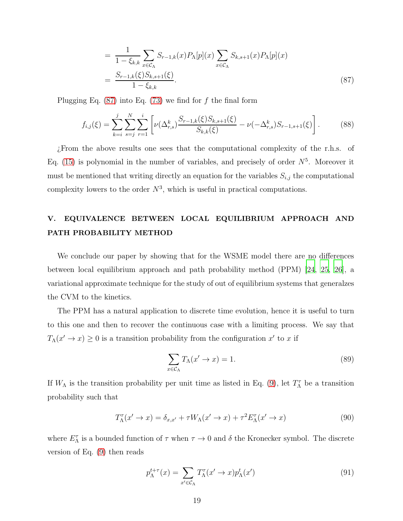$$
= \frac{1}{1 - \xi_{k,k}} \sum_{x \in \mathcal{C}_{\Lambda}} S_{r-1,k}(x) P_{\Lambda}[p](x) \sum_{x \in \mathcal{C}_{\Lambda}} S_{k,s+1}(x) P_{\Lambda}[p](x)
$$
  

$$
= \frac{S_{r-1,k}(\xi) S_{k,s+1}(\xi)}{1 - \xi_{k,k}}.
$$
 (87)

Plugging Eq.  $(87)$  into Eq.  $(73)$  we find for f the final form

$$
f_{i,j}(\xi) = \sum_{k=i}^{j} \sum_{s=j}^{N} \sum_{r=1}^{i} \left[ \nu(\Delta_{r,s}^k) \frac{S_{r-1,k}(\xi)S_{k,s+1}(\xi)}{S_{k,k}(\xi)} - \nu(-\Delta_{r,s}^k)S_{r-1,s+1}(\xi) \right].
$$
 (88)

¿From the above results one sees that the computational complexity of the r.h.s. of Eq. [\(15\)](#page-5-4) is polynomial in the number of variables, and precisely of order  $N^5$ . Moreover it must be mentioned that writing directly an equation for the variables  $S_{i,j}$  the computational complexity lowers to the order  $N^3$ , which is useful in practical computations.

## <span id="page-18-0"></span>V. EQUIVALENCE BETWEEN LOCAL EQUILIBRIUM APPROACH AND PATH PROBABILITY METHOD

We conclude our paper by showing that for the WSME model there are no differences between local equilibrium approach and path probability method (PPM) [\[24](#page-24-7), [25](#page-24-8), [26](#page-24-9)], a variational approximate technique for the study of out of equilibrium systems that generalzes the CVM to the kinetics.

The PPM has a natural application to discrete time evolution, hence it is useful to turn to this one and then to recover the continuous case with a limiting process. We say that  $T_{\Lambda}(x' \to x) \geq 0$  is a transition probability from the configuration  $x'$  to x if

<span id="page-18-2"></span>
$$
\sum_{x \in \mathcal{C}_{\Lambda}} T_{\Lambda}(x' \to x) = 1. \tag{89}
$$

If  $W_{\Lambda}$  is the transition probability per unit time as listed in Eq. [\(9\)](#page-4-4), let  $T_{\Lambda}^{\tau}$  be a transition probability such that

<span id="page-18-1"></span>
$$
T_{\Lambda}^{\tau}(x' \to x) = \delta_{x,x'} + \tau W_{\Lambda}(x' \to x) + \tau^2 E_{\Lambda}^{\tau}(x' \to x)
$$
\n(90)

where  $E_{\Lambda}^{\tau}$  is a bounded function of  $\tau$  when  $\tau \to 0$  and  $\delta$  the Kronecker symbol. The discrete version of Eq. [\(9\)](#page-4-4) then reads

<span id="page-18-3"></span>
$$
p_{\Lambda}^{t+\tau}(x) = \sum_{x' \in \mathcal{C}_{\Lambda}} T_{\Lambda}^{\tau}(x' \to x) p_{\Lambda}^t(x')
$$
\n(91)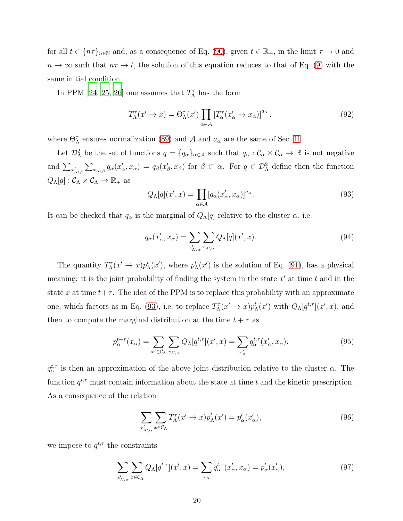for all  $t \in \{n\tau\}_{n\in\mathbb{N}}$  and, as a consequence of Eq. [\(90\)](#page-18-1), given  $t \in \mathbb{R}_{+}$ , in the limit  $\tau \to 0$  and  $n \to \infty$  such that  $n\tau \to t$ , the solution of this equation reduces to that of Eq. [\(9\)](#page-4-4) with the same initial condition.

In PPM [\[24](#page-24-7), [25,](#page-24-8) [26\]](#page-24-9) one assumes that  $T_{\Lambda}^{\tau}$  has the form

$$
T_{\Lambda}^{\tau}(x' \to x) = \Theta_{\Lambda}^{\tau}(x') \prod_{\alpha \in \mathcal{A}} \left[ T_{\alpha}^{\tau}(x'_{\alpha} \to x_{\alpha}) \right]^{a_{\alpha}}, \tag{92}
$$

where  $\Theta_{\Lambda}^{\tau}$  ensures normalization [\(89\)](#page-18-2) and  $\mathcal{A}$  and  $a_{\alpha}$  are the same of Sec. [II.](#page-2-0)

Let  $\mathcal{D}^2_\Lambda$  be the set of functions  $q = \{q_\alpha\}_{\alpha \in \mathcal{A}}$  such that  $q_\alpha : \mathcal{C}_\alpha \times \mathcal{C}_\alpha \to \mathbb{R}$  is not negative and  $\sum_{x'_{\alpha\setminus\beta}}\sum_{x_{\alpha\setminus\beta}}q_{\alpha}(x'_{\alpha},x_{\alpha})=q_{\beta}(x'_{\beta},x_{\beta})$  for  $\beta\subset\alpha$ . For  $q\in\mathcal{D}_{\Lambda}^2$  define then the function  $Q_{\Lambda}[q] : C_{\Lambda} \times C_{\Lambda} \to \mathbb{R}_{+}$  as

<span id="page-19-0"></span>
$$
Q_{\Lambda}[q](x',x) = \prod_{\alpha \in \mathcal{A}} [q_{\alpha}(x'_{\alpha}, x_{\alpha})]^{a_{\alpha}}.
$$
\n(93)

It can be checked that  $q_{\alpha}$  is the marginal of  $Q_{\Lambda}[q]$  relative to the cluster  $\alpha$ , i.e.

$$
q_{\alpha}(x'_{\alpha}, x_{\alpha}) = \sum_{x'_{\Lambda \backslash \alpha}} \sum_{x_{\Lambda \backslash \alpha}} Q_{\Lambda}[q](x', x). \tag{94}
$$

The quantity  $T_{\Lambda}^{\tau}(x' \to x)p_{\Lambda}^{\tau}(x')$ , where  $p_{\Lambda}^{\tau}(x')$  is the solution of Eq. [\(91\)](#page-18-3), has a physical meaning: it is the joint probability of finding the system in the state  $x'$  at time  $t$  and in the state x at time  $t+\tau$ . The idea of the PPM is to replace this probability with an approximate one, which factors as in Eq. [\(93\)](#page-19-0), i.e. to replace  $T_{\Lambda}^{\tau}(x' \to x) p_{\Lambda}^{t}(x')$  with  $Q_{\Lambda}[q^{t,\tau}](x',x)$ , and then to compute the marginal distribution at the time  $t + \tau$  as

$$
p_{\alpha}^{t+\tau}(x_{\alpha}) = \sum_{x' \in \mathcal{C}_{\Lambda}} \sum_{x_{\Lambda \backslash \alpha}} Q_{\Lambda}[q^{t,\tau}](x',x) = \sum_{x'_{\alpha}} q_{\alpha}^{t,\tau}(x'_{\alpha},x_{\alpha}). \tag{95}
$$

 $q_{\alpha}^{t,\tau}$  is then an approximation of the above joint distribution relative to the cluster  $\alpha$ . The function  $q^{t,\tau}$  must contain information about the state at time t and the kinetic prescription. As a consequence of the relation

$$
\sum_{x'_{\Lambda\backslash\alpha}} \sum_{x \in \mathcal{C}_{\Lambda}} T_{\Lambda}^{\tau}(x' \to x) p_{\Lambda}^{t}(x') = p_{\alpha}^{t}(x'_{\alpha}), \tag{96}
$$

we impose to  $q^{t,\tau}$  the constraints

<span id="page-19-1"></span>
$$
\sum_{x'_{\Lambda\backslash\alpha}}\sum_{x\in\mathcal{C}_{\Lambda}}Q_{\Lambda}[q^{t,\tau}](x',x)=\sum_{x_{\alpha}}q^{t,\tau}_{\alpha}(x'_{\alpha},x_{\alpha})=p^{t}_{\alpha}(x'_{\alpha}),\tag{97}
$$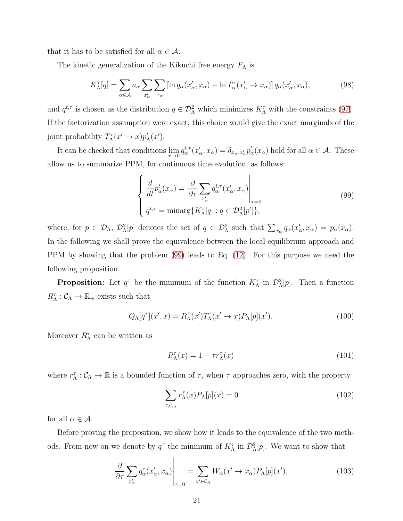that it has to be satisfied for all  $\alpha \in \mathcal{A}$ .

The kinetic generalization of the Kikuchi free energy  $F_{\Lambda}$  is

$$
K_{\Lambda}^{\tau}[q] = \sum_{\alpha \in \mathcal{A}} a_{\alpha} \sum_{x_{\alpha}'} \sum_{x_{\alpha}} \left[ \ln q_{\alpha}(x_{\alpha}', x_{\alpha}) - \ln T_{\alpha}^{\tau}(x_{\alpha}' \to x_{\alpha}) \right] q_{\alpha}(x_{\alpha}', x_{\alpha}), \tag{98}
$$

and  $q^{t,\tau}$  is chosen as the distribution  $q \in \mathcal{D}^2_\Lambda$  which minimizes  $K^{\tau}_{\Lambda}$  with the constraints [\(97\)](#page-19-1). If the factorization assumption were exact, this choice would give the exact marginals of the joint probability  $T_{\Lambda}^{\tau}(x' \to x) p_{\Lambda}^{t}(x')$ .

It can be checked that conditions  $\lim_{\tau \to 0} q_\alpha^{t,\tau}(x_\alpha', x_\alpha) = \delta_{x_\alpha,x_\alpha'} p_\alpha^t(x_\alpha)$  hold for all  $\alpha \in \mathcal{A}$ . These allow us to summarize PPM, for continuous time evolution, as follows:

<span id="page-20-0"></span>
$$
\begin{cases}\n\frac{d}{dt}p_{\alpha}^{t}(x_{\alpha}) = \frac{\partial}{\partial \tau} \sum_{x_{\alpha}'} q_{\alpha}^{t,\tau}(x_{\alpha}', x_{\alpha})\n\\
q^{t,\tau} = \min \{K_{\Lambda}^{\tau}[q] : q \in \mathcal{D}_{\Lambda}^{2}[p^{t}]\},\n\end{cases}
$$
\n(99)

where, for  $p \in \mathcal{D}_{\Lambda}$ ,  $\mathcal{D}_{\Lambda}^2[p]$  denotes the set of  $q \in \mathcal{D}_{\Lambda}^2$  such that  $\sum_{x_\alpha} q_\alpha(x'_\alpha, x_\alpha) = p_\alpha(x_\alpha)$ . In the following we shall prove the equivalence between the local equilibrium approach and PPM by showing that the problem [\(99\)](#page-20-0) leads to Eq. [\(12\)](#page-5-2). For this purpose we need the following proposition.

**Proposition:** Let  $q^{\tau}$  be the minimum of the function  $K_{\Lambda}^{\tau}$  in  $\mathcal{D}_{\Lambda}^2[p]$ . Then a function  $R_\Lambda^\tau:\mathcal{C}_\Lambda\to\mathbb{R}_+$  exists such that

<span id="page-20-1"></span>
$$
Q_{\Lambda}[q^{\tau}](x',x) = R_{\Lambda}^{\tau}(x')T_{\Lambda}^{\tau}(x' \to x)P_{\Lambda}[p](x'). \qquad (100)
$$

Moreover  $R_{\Lambda}^{\tau}$  can be written as

<span id="page-20-2"></span>
$$
R_{\Lambda}^{\tau}(x) = 1 + \tau r_{\Lambda}^{\tau}(x) \tag{101}
$$

where  $r_{\Lambda}^{\tau}: \mathcal{C}_{\Lambda} \to \mathbb{R}$  is a bounded function of  $\tau$ , when  $\tau$  approaches zero, with the property

<span id="page-20-3"></span>
$$
\sum_{x_{\Lambda\setminus\alpha}} r_{\Lambda}^{\tau}(x) P_{\Lambda}[p](x) = 0 \tag{102}
$$

for all  $\alpha \in \mathcal{A}$ .

Before proving the proposition, we show how it leads to the equivalence of the two methods. From now on we denote by  $q^{\tau}$  the minimum of  $K_{\Lambda}^{\tau}$  in  $\mathcal{D}_{\Lambda}^{2}[p]$ . We want to show that

<span id="page-20-4"></span>
$$
\frac{\partial}{\partial \tau} \sum_{x'_\alpha} q^{\tau}_\alpha(x'_\alpha, x_\alpha) \Big|_{\tau=0} = \sum_{x' \in \mathcal{C}_{\Lambda}} W_\alpha(x' \to x_\alpha) P_{\Lambda}[p](x'), \tag{103}
$$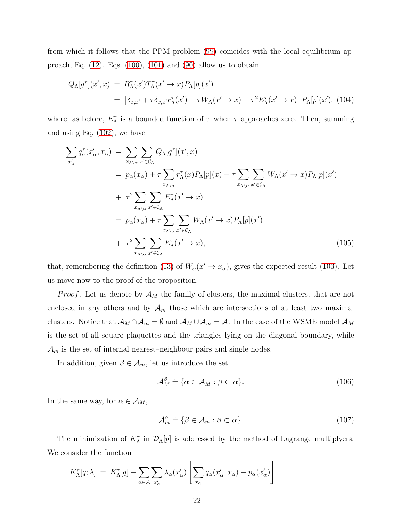from which it follows that the PPM problem [\(99\)](#page-20-0) coincides with the local equilibrium approach, Eq.  $(12)$ . Eqs.  $(100)$ ,  $(101)$  and  $(90)$  allow us to obtain

$$
Q_{\Lambda}[q^{\tau}](x',x) = R_{\Lambda}^{\tau}(x')T_{\Lambda}^{\tau}(x' \to x)P_{\Lambda}[p](x')
$$
  
= 
$$
\left[\delta_{x,x'} + \tau \delta_{x,x'}r_{\Lambda}^{\tau}(x') + \tau W_{\Lambda}(x' \to x) + \tau^2 E_{\Lambda}^{\tau}(x' \to x)\right]P_{\Lambda}[p](x'), \text{ (104)}
$$

where, as before,  $E_{\Lambda}^{\tau}$  is a bounded function of  $\tau$  when  $\tau$  approaches zero. Then, summing and using Eq. [\(102\)](#page-20-3), we have

$$
\sum_{x'_{\alpha}} q_{\alpha}^{\tau}(x'_{\alpha}, x_{\alpha}) = \sum_{x_{\Lambda \backslash \alpha}} \sum_{x' \in C_{\Lambda}} Q_{\Lambda}[q^{\tau}](x', x)
$$
\n
$$
= p_{\alpha}(x_{\alpha}) + \tau \sum_{x_{\Lambda \backslash \alpha}} r_{\Lambda}^{\tau}(x) P_{\Lambda}[p](x) + \tau \sum_{x_{\Lambda \backslash \alpha}} \sum_{x' \in C_{\Lambda}} W_{\Lambda}(x' \to x) P_{\Lambda}[p](x')
$$
\n
$$
+ \tau^2 \sum_{x_{\Lambda \backslash \alpha}} \sum_{x' \in C_{\Lambda}} E_{\Lambda}^{\tau}(x' \to x)
$$
\n
$$
= p_{\alpha}(x_{\alpha}) + \tau \sum_{x_{\Lambda \backslash \alpha}} \sum_{x' \in C_{\Lambda}} W_{\Lambda}(x' \to x) P_{\Lambda}[p](x')
$$
\n
$$
+ \tau^2 \sum_{x_{\Lambda \backslash \alpha}} \sum_{x' \in C_{\Lambda}} E_{\Lambda}^{\tau}(x' \to x), \qquad (105)
$$

that, remembering the definition [\(13\)](#page-5-3) of  $W_{\alpha}(x' \to x_{\alpha})$ , gives the expected result [\(103\)](#page-20-4). Let us move now to the proof of the proposition.

*Proof.* Let us denote by  $\mathcal{A}_M$  the family of clusters, the maximal clusters, that are not enclosed in any others and by  $\mathcal{A}_m$  those which are intersections of at least two maximal clusters. Notice that  $A_M \cap A_m = \emptyset$  and  $A_M \cup A_m = A$ . In the case of the WSME model  $A_M$ is the set of all square plaquettes and the triangles lying on the diagonal boundary, while  $\mathcal{A}_m$  is the set of internal nearest–neighbour pairs and single nodes.

In addition, given  $\beta \in \mathcal{A}_m$ , let us introduce the set

$$
\mathcal{A}_M^{\beta} \doteq \{ \alpha \in \mathcal{A}_M : \beta \subset \alpha \}. \tag{106}
$$

In the same way, for  $\alpha \in \mathcal{A}_M$ ,

$$
\mathcal{A}_m^{\alpha} \doteq \{ \beta \in \mathcal{A}_m : \beta \subset \alpha \}. \tag{107}
$$

The minimization of  $K^{\tau}_{\Lambda}$  in  $\mathcal{D}_{\Lambda}[p]$  is addressed by the method of Lagrange multiplyers. We consider the function

$$
K_{\Lambda}^{\tau}[q;\lambda] \doteq K_{\Lambda}^{\tau}[q] - \sum_{\alpha \in \mathcal{A}} \sum_{x_{\alpha}'} \lambda_{\alpha}(x_{\alpha}') \left[ \sum_{x_{\alpha}} q_{\alpha}(x_{\alpha}', x_{\alpha}) - p_{\alpha}(x_{\alpha}') \right]
$$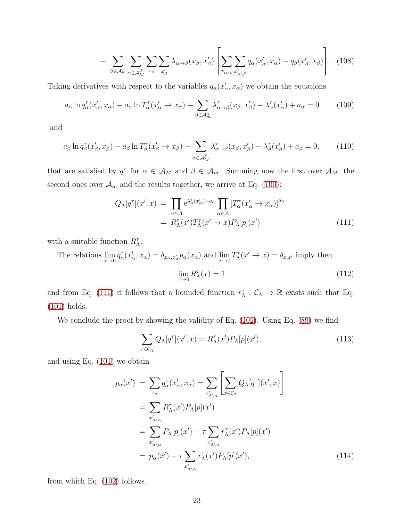$$
+ \sum_{\beta \in \mathcal{A}_m} \sum_{\alpha \in \mathcal{A}_M^{\beta}} \sum_{x_{\beta}} \sum_{x'_{\beta}} \lambda_{\alpha \to \beta}(x_{\beta}, x'_{\beta}) \left[ \sum_{x_{\alpha \setminus \beta}} \sum_{x'_{\alpha \setminus \beta}} q_{\alpha}(x'_{\alpha}, x_{\alpha}) - q_{\beta}(x'_{\beta}, x_{\beta}) \right]. \tag{108}
$$

Taking derivatives with respect to the variables  $q_{\alpha}(x'_{\alpha}, x_{\alpha})$  we obtain the equations

$$
a_{\alpha} \ln q_{\alpha}^{\tau}(x_{\alpha}', x_{\alpha}) - a_{\alpha} \ln T_{\alpha}^{\tau}(x_{\alpha}' \to x_{\alpha}) + \sum_{\beta \in \mathcal{A}_{m}^{\alpha}} \lambda_{\alpha \to \beta}^{\tau}(x_{\beta}, x_{\beta}') - \lambda_{\alpha}^{\tau}(x_{\alpha}') + a_{\alpha} = 0 \qquad (109)
$$

and

$$
a_{\beta} \ln q_{\beta}^{\tau}(x_{\beta}', x_{\beta}) - a_{\beta} \ln T_{\beta}^{\tau}(x_{\beta}' \to x_{\beta}) - \sum_{\alpha \in A_M^{\beta}} \lambda_{\alpha \to \beta}^{\tau}(x_{\beta}, x_{\beta}') - \lambda_{\beta}^{\tau}(x_{\beta}') + a_{\beta} = 0, \qquad (110)
$$

that are satisfied by  $q^{\tau}$  for  $\alpha \in A_M$  and  $\beta \in A_m$ . Summing now the first over  $A_M$ , the second ones over  $\mathcal{A}_m$  and the results together, we arrive at Eq. [\(100\)](#page-20-1):

<span id="page-22-0"></span>
$$
Q_{\Lambda}[q^{\tau}](x',x) = \prod_{\alpha \in \mathcal{A}} e^{\lambda_{\alpha}^{\tau}(x'_{\alpha}) - a_{\alpha}} \prod_{\alpha \in \mathcal{A}} \left[ T_{\alpha}^{\tau}(x'_{\alpha} \to x_{\alpha}) \right]^{a_{\alpha}}
$$

$$
= R_{\Lambda}^{\tau}(x') T_{\Lambda}^{\tau}(x' \to x) P_{\Lambda}[p](x')
$$
(111)

with a suitable function  $R^{\tau}_{\Lambda}$ .

The relations  $\lim_{\tau \to 0} q_\alpha^{\tau}(x'_\alpha, x_\alpha) = \delta_{x_\alpha, x'_\alpha} p_\alpha(x_\alpha)$  and  $\lim_{\tau \to 0} T_\Lambda^{\tau}(x' \to x) = \delta_{x,x'}$  imply then

$$
\lim_{\tau \to 0} R_{\Lambda}^{\tau}(x) = 1 \tag{112}
$$

and from Eq. [\(111\)](#page-22-0) it follows that a bounded function  $r_{\Lambda}^{\tau} : C_{\Lambda} \to \mathbb{R}$  exists such that Eq. [\(101\)](#page-20-2) holds.

We conclude the proof by showing the validity of Eq. [\(102\)](#page-20-3). Using Eq. [\(89\)](#page-18-2) we find

$$
\sum_{x \in \mathcal{C}_{\Lambda}} Q_{\Lambda}[q^{\tau}](x', x) = R_{\Lambda}^{\tau}(x') P_{\Lambda}[p](x'), \qquad (113)
$$

and using Eq. [\(101\)](#page-20-2) we obtain

$$
p_{\alpha}(x') = \sum_{x_{\alpha}} q_{\alpha}^{\tau}(x'_{\alpha}, x_{\alpha}) = \sum_{x'_{\Lambda \backslash \alpha}} \left[ \sum_{x \in C_{\Lambda}} Q_{\Lambda}[q^{\tau}](x', x) \right]
$$
  
\n
$$
= \sum_{x'_{\Lambda \backslash \alpha}} R_{\Lambda}^{\tau}(x') P_{\Lambda}[p](x')
$$
  
\n
$$
= \sum_{x'_{\Lambda \backslash \alpha}} P_{\Lambda}[p](x') + \tau \sum_{x'_{\Lambda \backslash \alpha}} r_{\Lambda}^{\tau}(x') P_{\Lambda}[p](x')
$$
  
\n
$$
= p_{\alpha}(x') + \tau \sum_{x'_{\Lambda \backslash \alpha}} r_{\Lambda}^{\tau}(x') P_{\Lambda}[p](x'), \qquad (114)
$$

from which Eq. [\(102\)](#page-20-3) follows.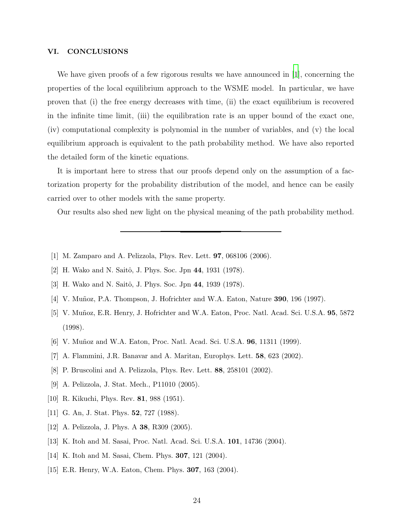#### VI. CONCLUSIONS

We have given proofs of a few rigorous results we have announced in [\[1\]](#page-23-0), concerning the properties of the local equilibrium approach to the WSME model. In particular, we have proven that (i) the free energy decreases with time, (ii) the exact equilibrium is recovered in the infinite time limit, (iii) the equilibration rate is an upper bound of the exact one, (iv) computational complexity is polynomial in the number of variables, and (v) the local equilibrium approach is equivalent to the path probability method. We have also reported the detailed form of the kinetic equations.

It is important here to stress that our proofs depend only on the assumption of a factorization property for the probability distribution of the model, and hence can be easily carried over to other models with the same property.

Our results also shed new light on the physical meaning of the path probability method.

- <span id="page-23-1"></span><span id="page-23-0"></span>[1] M. Zamparo and A. Pelizzola, Phys. Rev. Lett. 97, 068106 (2006).
- [2] H. Wako and N. Saitô, J. Phys. Soc. Jpn 44, 1931 (1978).
- <span id="page-23-3"></span><span id="page-23-2"></span>[3] H. Wako and N. Saitô, J. Phys. Soc. Jpn 44, 1939 (1978).
- [4] V. Muñoz, P.A. Thompson, J. Hofrichter and W.A. Eaton, Nature **390**, 196 (1997).
- <span id="page-23-4"></span>[5] V. Muñoz, E.R. Henry, J. Hofrichter and W.A. Eaton, Proc. Natl. Acad. Sci. U.S.A. 95, 5872 (1998).
- <span id="page-23-6"></span><span id="page-23-5"></span>[6] V. Muñoz and W.A. Eaton, Proc. Natl. Acad. Sci. U.S.A. **96**, 11311 (1999).
- [7] A. Flammini, J.R. Banavar and A. Maritan, Europhys. Lett. 58, 623 (2002).
- <span id="page-23-7"></span>[8] P. Bruscolini and A. Pelizzola, Phys. Rev. Lett. 88, 258101 (2002).
- <span id="page-23-8"></span>[9] A. Pelizzola, J. Stat. Mech., P11010 (2005).
- <span id="page-23-9"></span>[10] R. Kikuchi, Phys. Rev. 81, 988 (1951).
- <span id="page-23-10"></span>[11] G. An, J. Stat. Phys. **52**, 727 (1988).
- <span id="page-23-11"></span>[12] A. Pelizzola, J. Phys. A 38, R309 (2005).
- <span id="page-23-12"></span>[13] K. Itoh and M. Sasai, Proc. Natl. Acad. Sci. U.S.A. **101**, 14736 (2004).
- <span id="page-23-13"></span>[14] K. Itoh and M. Sasai, Chem. Phys. **307**, 121 (2004).
- <span id="page-23-14"></span>[15] E.R. Henry, W.A. Eaton, Chem. Phys. 307, 163 (2004).